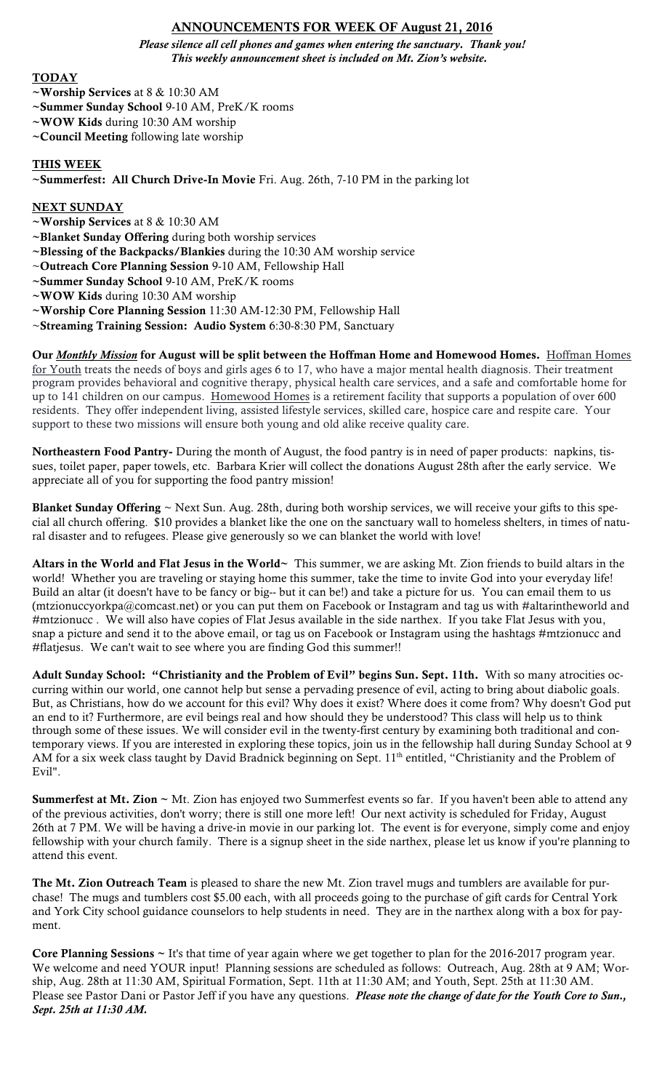# ANNOUNCEMENTS FOR WEEK OF August 21, 2016

*Please silence all cell phones and games when entering the sanctuary. Thank you! This weekly announcement sheet is included on Mt. Zion's website.*

## TODAY

- ~Worship Services at 8 & 10:30 AM
- ~Summer Sunday School 9-10 AM, PreK/K rooms
- ~WOW Kids during 10:30 AM worship
- ~Council Meeting following late worship

### THIS WEEK

~Summerfest: All Church Drive-In Movie Fri. Aug. 26th, 7-10 PM in the parking lot

### NEXT SUNDAY

~Worship Services at 8 & 10:30 AM

~Blanket Sunday Offering during both worship services

- ~Blessing of the Backpacks/Blankies during the 10:30 AM worship service
- ~Outreach Core Planning Session 9-10 AM, Fellowship Hall
- ~Summer Sunday School 9-10 AM, PreK/K rooms
- ~WOW Kids during 10:30 AM worship

~Worship Core Planning Session 11:30 AM-12:30 PM, Fellowship Hall

~Streaming Training Session: Audio System 6:30-8:30 PM, Sanctuary

Our *Monthly Mission* for August will be split between the Hoffman Home and Homewood Homes. Hoffman Homes for Youth treats the needs of boys and girls ages 6 to 17, who have a major mental health diagnosis. Their treatment program provides behavioral and cognitive therapy, physical health care services, and a safe and comfortable home for up to 141 children on our campus. Homewood Homes is a retirement facility that supports a population of over 600 residents. They offer independent living, assisted lifestyle services, skilled care, hospice care and respite care. Your support to these two missions will ensure both young and old alike receive quality care.

Northeastern Food Pantry- During the month of August, the food pantry is in need of paper products: napkins, tissues, toilet paper, paper towels, etc. Barbara Krier will collect the donations August 28th after the early service. We appreciate all of you for supporting the food pantry mission!

**Blanket Sunday Offering**  $\sim$  Next Sun. Aug. 28th, during both worship services, we will receive your gifts to this special all church offering. \$10 provides a blanket like the one on the sanctuary wall to homeless shelters, in times of natural disaster and to refugees. Please give generously so we can blanket the world with love!

Altars in the World and Flat Jesus in the World~ This summer, we are asking Mt. Zion friends to build altars in the world! Whether you are traveling or staying home this summer, take the time to invite God into your everyday life! Build an altar (it doesn't have to be fancy or big-- but it can be!) and take a picture for us. You can email them to us (mtzionuccyorkpa@comcast.net) or you can put them on Facebook or Instagram and tag us with #altarintheworld and #mtzionucc . We will also have copies of Flat Jesus available in the side narthex. If you take Flat Jesus with you, snap a picture and send it to the above email, or tag us on Facebook or Instagram using the hashtags #mtzionucc and #flatjesus. We can't wait to see where you are finding God this summer!!

Adult Sunday School: "Christianity and the Problem of Evil" begins Sun. Sept. 11th. With so many atrocities occurring within our world, one cannot help but sense a pervading presence of evil, acting to bring about diabolic goals. But, as Christians, how do we account for this evil? Why does it exist? Where does it come from? Why doesn't God put an end to it? Furthermore, are evil beings real and how should they be understood? This class will help us to think through some of these issues. We will consider evil in the twenty-first century by examining both traditional and contemporary views. If you are interested in exploring these topics, join us in the fellowship hall during Sunday School at 9 AM for a six week class taught by David Bradnick beginning on Sept. 11<sup>th</sup> entitled, "Christianity and the Problem of Evil".

Summerfest at Mt. Zion ~ Mt. Zion has enjoyed two Summerfest events so far. If you haven't been able to attend any of the previous activities, don't worry; there is still one more left! Our next activity is scheduled for Friday, August 26th at 7 PM. We will be having a drive-in movie in our parking lot. The event is for everyone, simply come and enjoy fellowship with your church family. There is a signup sheet in the side narthex, please let us know if you're planning to attend this event.

The Mt. Zion Outreach Team is pleased to share the new Mt. Zion travel mugs and tumblers are available for purchase! The mugs and tumblers cost \$5.00 each, with all proceeds going to the purchase of gift cards for Central York and York City school guidance counselors to help students in need. They are in the narthex along with a box for payment.

**Core Planning Sessions**  $\sim$  It's that time of year again where we get together to plan for the 2016-2017 program year. We welcome and need YOUR input! Planning sessions are scheduled as follows: Outreach, Aug. 28th at 9 AM; Worship, Aug. 28th at 11:30 AM, Spiritual Formation, Sept. 11th at 11:30 AM; and Youth, Sept. 25th at 11:30 AM. Please see Pastor Dani or Pastor Jeff if you have any questions. *Please note the change of date for the Youth Core to Sun., Sept. 25th at 11:30 AM.*